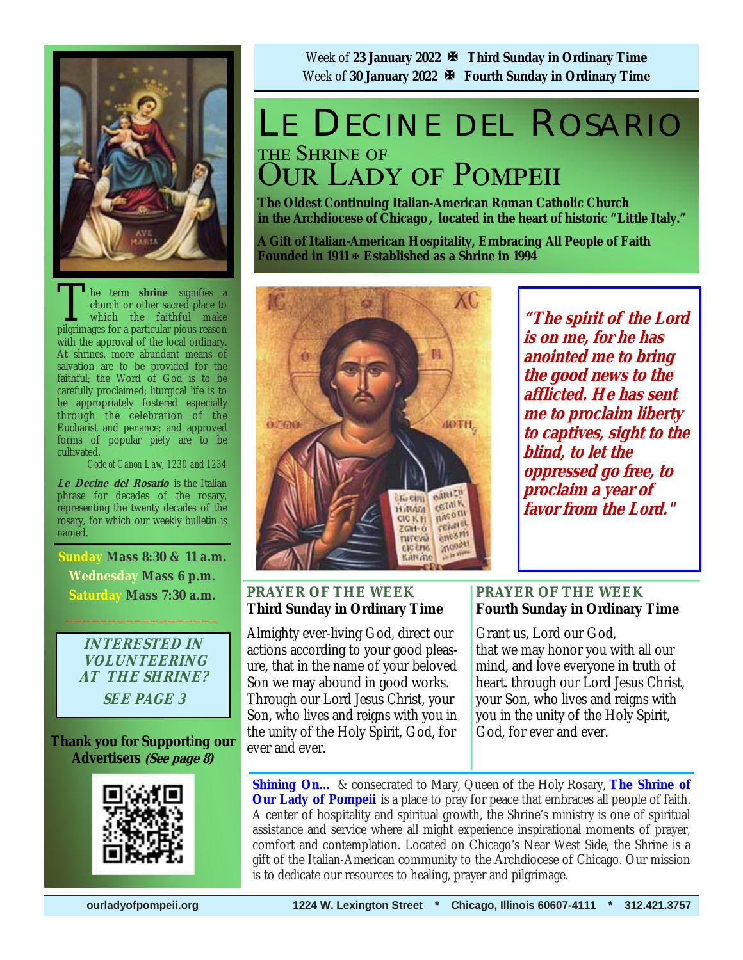

The term **shrine** signifies a church or other sacred place to which the faithful make pilerimages for a particular pious reason church or other sacred place to which the faithful make pilgrimages for a particular pious reason with the approval of the local ordinary. At shrines, more abundant means of salvation are to be provided for the faithful; the Word of God is to be carefully proclaimed; liturgical life is to be appropriately fostered especially through the celebration of the Eucharist and penance; and approved forms of popular piety are to be cultivated.

*Code of Canon Law, 1230 and 1234* 

**Le Decine del Rosario** is the Italian phrase for decades of the rosary, representing the twenty decades of the rosary, for which our weekly bulletin is named.

**Sunday Mass 8:30 & 11 a.m. Wednesday Mass 6 p.m. Saturday Mass 7:30 a.m.**   $\frac{1}{2}$  ,  $\frac{1}{2}$  ,  $\frac{1}{2}$  ,  $\frac{1}{2}$  ,  $\frac{1}{2}$  ,  $\frac{1}{2}$  ,  $\frac{1}{2}$  ,  $\frac{1}{2}$ 

> **INTERESTED IN VOLUNTEERING AT THE SHRINE? SEE PAGE 3**

**Thank you for Supporting our Advertisers (See page 8)**



Week of **23 January 2022 Third Sunday in Ordinary Time** Week of **30 January 2022 Fourth Sunday in Ordinary Time**

# LE DECINE DEL ROSARIO THE SHRINE OF **OUR LADY OF POMPEII**

**The Oldest Continuing Italian-American Roman Catholic Church in the Archdiocese of Chicago , located in the heart of historic "Little Italy."** 

**A Gift of Italian-American Hospitality, Embracing All People of Faith Founded in 1911 Established as a Shrine in 1994**



**"The spirit of the Lord is on me, for he has anointed me to bring the good news to the afflicted. He has sent me to proclaim liberty to captives, sight to the blind, to let the oppressed go free, to proclaim a year of favor from the Lord."**

## **PRAYER OF THE WEEK Third Sunday in Ordinary Time**

Almighty ever-living God, direct our actions according to your good pleasure, that in the name of your beloved Son we may abound in good works. Through our Lord Jesus Christ, your Son, who lives and reigns with you in the unity of the Holy Spirit, God, for ever and ever.

## **PRAYER OF THE WEEK Fourth Sunday in Ordinary Time**

Grant us, Lord our God, that we may honor you with all our mind, and love everyone in truth of heart. through our Lord Jesus Christ, your Son, who lives and reigns with you in the unity of the Holy Spirit, God, for ever and ever.

**Shining On…** & consecrated to Mary, Queen of the Holy Rosary, **The Shrine of Our Lady of Pompeii** is a place to pray for peace that embraces all people of faith. A center of hospitality and spiritual growth, the Shrine's ministry is one of spiritual assistance and service where all might experience inspirational moments of prayer, comfort and contemplation. Located on Chicago's Near West Side, the Shrine is a gift of the Italian-American community to the Archdiocese of Chicago. Our mission is to dedicate our resources to healing, prayer and pilgrimage.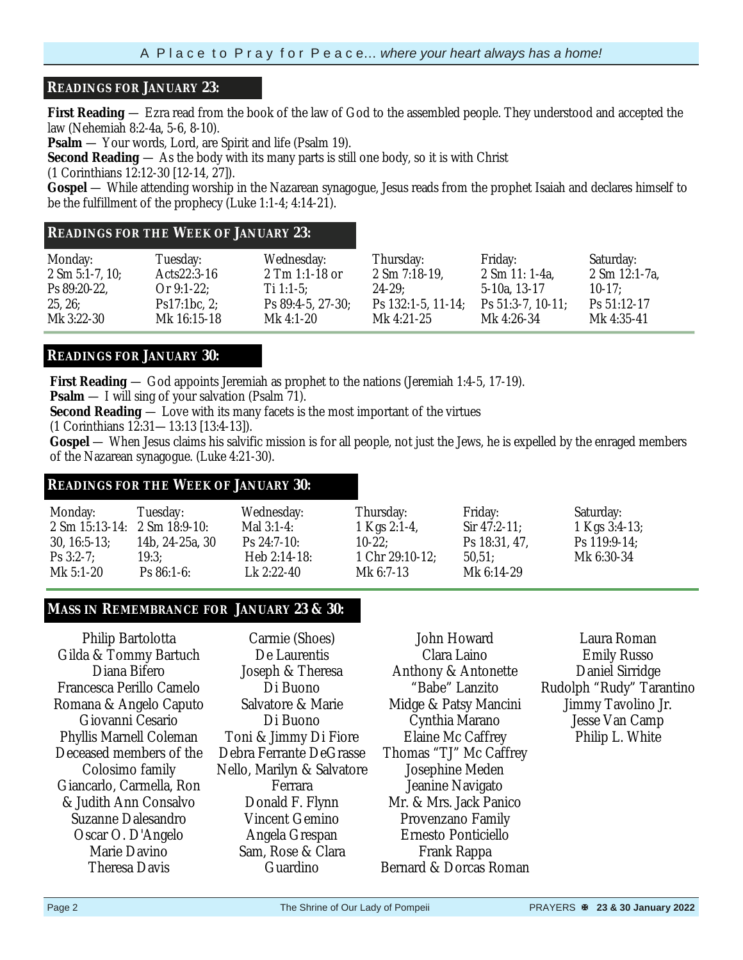#### **READINGS FOR JANUARY 23:**

**First Reading** — Ezra read from the book of the law of God to the assembled people. They understood and accepted the law (Nehemiah 8:2-4a, 5-6, 8-10).

**Psalm** — Your words, Lord, are Spirit and life (Psalm 19).

**Second Reading** — As the body with its many parts is still one body, so it is with Christ

(1 Corinthians 12:12-30 [12-14, 27]).

**Gospel** — While attending worship in the Nazarean synagogue, Jesus reads from the prophet Isaiah and declares himself to be the fulfillment of the prophecy (Luke 1:1-4; 4:14-21).

#### **READINGS FOR THE WEEK OF JANUARY 23:**

| Monday:                    | Tuesday:      | Wednesday:           | Thursday:                | Friday:                 | Saturday:                 |
|----------------------------|---------------|----------------------|--------------------------|-------------------------|---------------------------|
| $2 \text{ Sm } 5:1-7, 10;$ | Acts22:3-16   | $2$ Tm 1:1-18 or     | $2$ Sm $7:18-19$ ,       | 2 Sm 11: 1-4a.          | $2 \text{ Sm } 12:1-7a$ , |
| Ps 89:20-22,               | Or $9:1-22$ ; | Ti 1:1-5:            | $24 - 29:$               | 5-10a, 13-17            | $10-17$ :                 |
| 25, 26;                    | Ps17:1bc, 2;  | $Ps 89:4-5, 27-30$ ; | Ps $132:1-5$ , $11-14$ ; | Ps $51:3-7$ , $10-11$ ; | $Ps\ 51:12-17$            |
| Mk 3:22-30                 | Mk 16:15-18   | Mk 4:1-20            | Mk 4:21-25               | Mk 4:26-34              | Mk 4:35-41                |

### **READINGS FOR JANUARY 30:**

**First Reading** — God appoints Jeremiah as prophet to the nations (Jeremiah 1:4-5, 17-19).

**Psalm** — I will sing of your salvation (Psalm 71).

**Second Reading** — Love with its many facets is the most important of the virtues

(1 Corinthians 12:31—13:13 [13:4-13]).

**Gospel** — When Jesus claims his salvific mission is for all people, not just the Jews, he is expelled by the enraged members of the Nazarean synagogue. (Luke 4:21-30).

#### **READINGS FOR THE WEEK OF JANUARY 30:**

| Monday:<br>$2 \text{ Sm } 15:13-14: 2 \text{ Sm } 18:9-10:$<br>$30, 16:5-13$ ;<br>$Ps 3:2-7$ ; | Tuesday:<br>14b, 24-25a, 30<br>19:3: | Wednesday:<br>Mal $3:1-4$ :<br>$Ps 24:7-10:$<br>Heb $2:14-18$ : | Thursday:<br>1 Kgs 2:1-4,<br>$10-22$ :<br>1 Chr $29:10-12$ ; | Friday:<br>Sir $47:2-11$ ;<br>Ps 18:31, 47,<br>50.51: | Saturday:<br>1 Kgs $3:4-13$ ;<br>Ps $119:9-14$ ;<br>Mk 6:30-34 |
|------------------------------------------------------------------------------------------------|--------------------------------------|-----------------------------------------------------------------|--------------------------------------------------------------|-------------------------------------------------------|----------------------------------------------------------------|
| Mk 5:1-20                                                                                      | $Ps 86:1-6:$                         | Lk 2:22-40                                                      | Mk 6:7-13                                                    | Mk $6:14-29$                                          |                                                                |

### **MASS IN REMEMBRANCE FOR JANUARY 23 & 30:**

Philip Bartolotta Gilda & Tommy Bartuch Diana Bifero Francesca Perillo Camelo Romana & Angelo Caputo Giovanni Cesario Phyllis Marnell Coleman Deceased members of the Colosimo family Giancarlo, Carmella, Ron & Judith Ann Consalvo Suzanne Dalesandro Oscar O. D'Angelo Marie Davino Theresa Davis

Carmie (Shoes) De Laurentis Joseph & Theresa Di Buono Salvatore & Marie Di Buono Toni & Jimmy Di Fiore Debra Ferrante DeGrasse Nello, Marilyn & Salvatore Ferrara Donald F. Flynn Vincent Gemino Angela Grespan Sam, Rose & Clara Guardino

John Howard Clara Laino Anthony & Antonette "Babe" Lanzito Midge & Patsy Mancini Cynthia Marano Elaine Mc Caffrey Thomas "TJ" Mc Caffrey Josephine Meden Jeanine Navigato Mr. & Mrs. Jack Panico Provenzano Family Ernesto Ponticiello Frank Rappa Bernard & Dorcas Roman

Laura Roman Emily Russo Daniel Sirridge Rudolph "Rudy" Tarantino Jimmy Tavolino Jr. Jesse Van Camp Philip L. White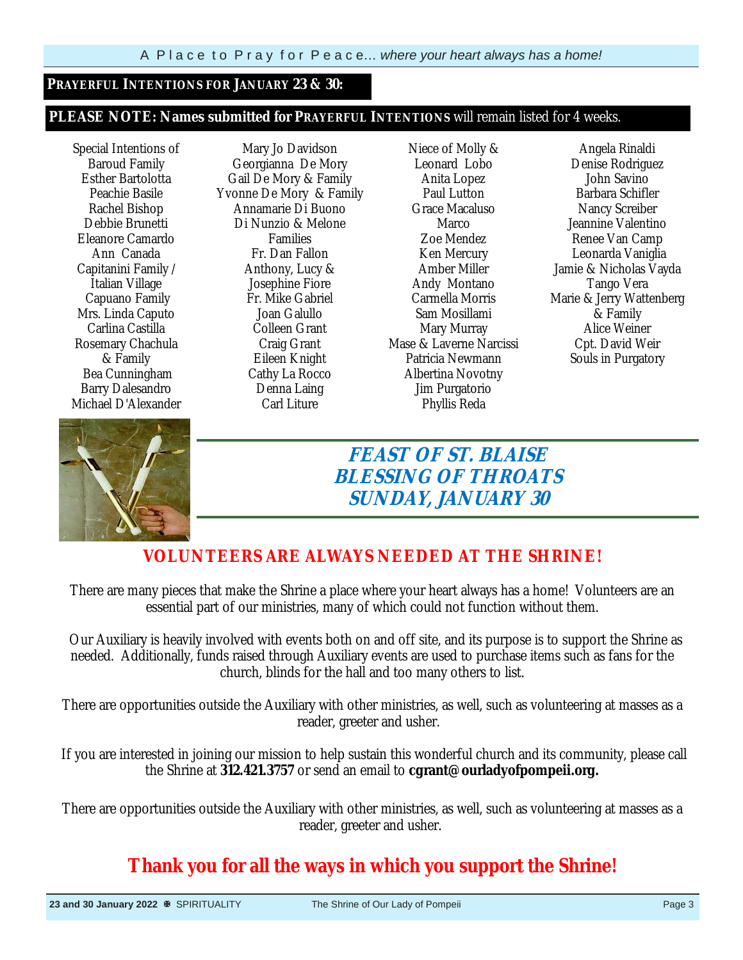#### **PRAYERFUL INTENTIONS FOR JANUARY 23 & 30:**

#### **PLEASE NOTE: Names submitted for PRAYERFUL INTENTIONS** will remain listed for 4 weeks.

Special Intentions of Baroud Family Esther Bartolotta Peachie Basile Rachel Bishop Debbie Brunetti Eleanore Camardo Ann Canada Capitanini Family / Italian Village Capuano Family Mrs. Linda Caputo Carlina Castilla Rosemary Chachula & Family Bea Cunningham Barry Dalesandro Michael D'Alexander

Mary Jo Davidson Georgianna De Mory Gail De Mory & Family Yvonne De Mory & Family Annamarie Di Buono Di Nunzio & Melone Families Fr. Dan Fallon Anthony, Lucy & Josephine Fiore Fr. Mike Gabriel Joan Galullo Colleen Grant Craig Grant Eileen Knight Cathy La Rocco Denna Laing Carl Liture

Niece of Molly & Leonard Lobo Anita Lopez Paul Lutton Grace Macaluso Marco Zoe Mendez Ken Mercury Amber Miller Andy Montano Carmella Morris Sam Mosillami Mary Murray Mase & Laverne Narcissi Patricia Newmann Albertina Novotny Jim Purgatorio Phyllis Reda

Angela Rinaldi Denise Rodriguez John Savino Barbara Schifler Nancy Screiber Jeannine Valentino Renee Van Camp Leonarda Vaniglia Jamie & Nicholas Vayda Tango Vera Marie & Jerry Wattenberg & Family Alice Weiner Cpt. David Weir Souls in Purgatory



**FEAST OF ST. BLAISE BLESSING OF THROATS SUNDAY, JANUARY 30** 

## **VOLUNTEERS ARE ALWAYS NEEDED AT THE SHRINE!**

There are many pieces that make the Shrine a place where your heart always has a home! Volunteers are an essential part of our ministries, many of which could not function without them.

 Our Auxiliary is heavily involved with events both on and off site, and its purpose is to support the Shrine as needed. Additionally, funds raised through Auxiliary events are used to purchase items such as fans for the church, blinds for the hall and too many others to list.

There are opportunities outside the Auxiliary with other ministries, as well, such as volunteering at masses as a reader, greeter and usher.

 If you are interested in joining our mission to help sustain this wonderful church and its community, please call the Shrine at **312.421.3757** or send an email to **cgrant@ourladyofpompeii.org.**

There are opportunities outside the Auxiliary with other ministries, as well, such as volunteering at masses as a reader, greeter and usher.

## **Thank you for all the ways in which you support the Shrine!**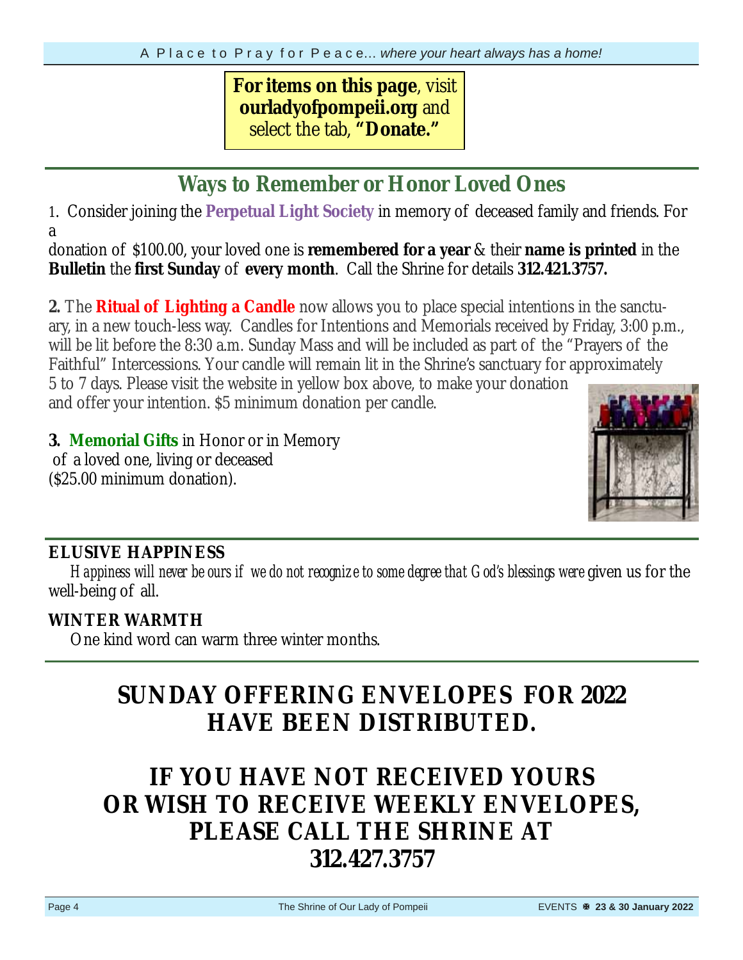## **For items on this page**, visit **ourladyofpompeii.org** and select the tab, **"Donate."**

## **Ways to Remember or Honor Loved Ones**

1. Consider joining the **Perpetual Light Society** in memory of deceased family and friends. For a

donation of \$100.00, your loved one is **remembered for a year** & their **name is printed** in the **Bulletin** the **first Sunday** of **every month**. Call the Shrine for details **312.421.3757.** 

**2.** The **Ritual of Lighting a Candle** now allows you to place special intentions in the sanctuary, in a new touch-less way. Candles for Intentions and Memorials received by Friday, 3:00 p.m., will be lit before the 8:30 a.m. Sunday Mass and will be included as part of the "Prayers of the Faithful" Intercessions. Your candle will remain lit in the Shrine's sanctuary for approximately 5 to 7 days. Please visit the website in yellow box above, to make your donation and offer your intention. \$5 minimum donation per candle.

**3. Memorial Gifts** in Honor or in Memory of a loved one, living or deceased (\$25.00 minimum donation).



## **ELUSIVE HAPPINESS**

*Happiness will never be ours if we do not recognize to some degree that God's blessings were* given us for the well-being of all.

## **WINTER WARMTH**

One kind word can warm three winter months.

## **SUNDAY OFFERING ENVELOPES FOR 2022 HAVE BEEN DISTRIBUTED.**

# **IF YOU HAVE NOT RECEIVED YOURS OR WISH TO RECEIVE WEEKLY ENVELOPES, PLEASE CALL THE SHRINE AT 312.427.3757**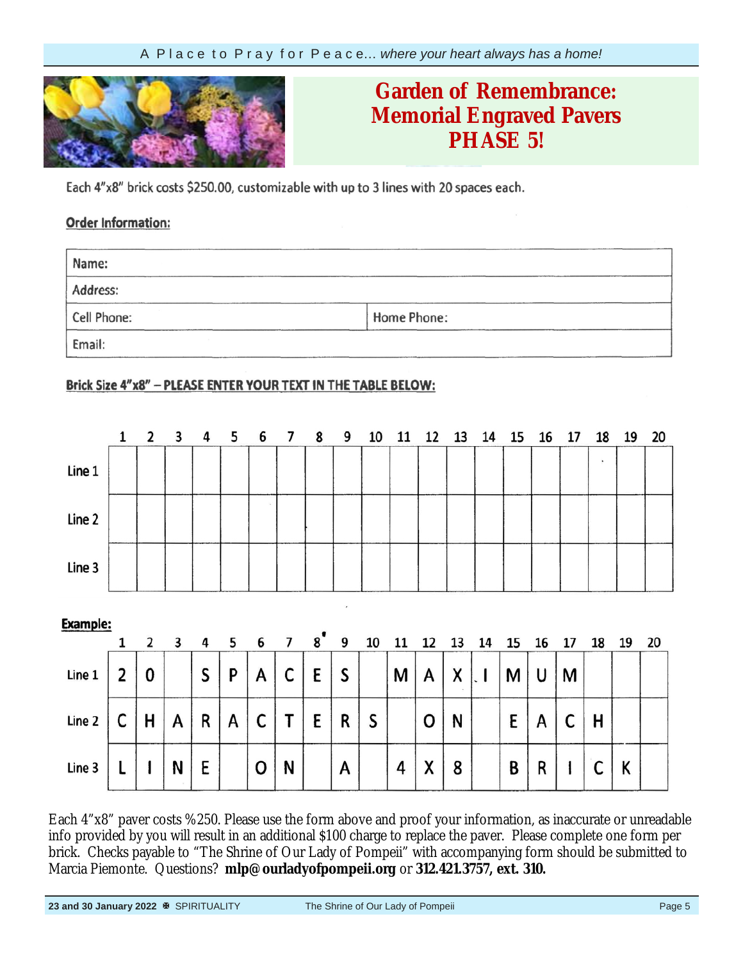

## **Garden of Remembrance: Engraved Memorial Pavers Memorial Engraved Pavers PHASE 5!**

Each 4"x8" brick costs \$250.00, customizable with up to 3 lines with 20 spaces each.

### **Order Information:**

| Name:       |             |  |
|-------------|-------------|--|
| Address:    |             |  |
| Cell Phone: | Home Phone: |  |
| Email:      |             |  |

### Brick Size 4"x8" - PLEASE ENTER YOUR TEXT IN THE TABLE BELOW:

|          |                | $1\quad 2$ | 3 | 4 | 5               | 6 | 7 | 8                          | 9             | 10 | 11 | 12 | 13 | 14 | 15 | 16 | 17 | 18 | 19 | 20 |
|----------|----------------|------------|---|---|-----------------|---|---|----------------------------|---------------|----|----|----|----|----|----|----|----|----|----|----|
| Line 1   |                |            |   |   |                 |   |   |                            |               |    |    |    |    |    |    |    |    | ٠  |    |    |
| Line 2   |                |            |   |   |                 |   |   |                            |               |    |    |    |    |    |    |    |    |    |    |    |
| Line 3   |                |            |   |   |                 |   |   |                            |               |    |    |    |    |    |    |    |    |    |    |    |
| Example: |                |            |   |   |                 |   |   |                            | $\mathcal{F}$ |    |    |    |    |    |    |    |    |    |    |    |
|          | 1              | 2          | 3 | 4 | $5\overline{5}$ | 6 | 7 | $\boldsymbol{8}^{\bullet}$ | 9             | 10 | 11 | 12 | 13 | 14 | 15 | 16 | 17 | 18 | 19 | 20 |
| Line 1   | $\overline{2}$ | 0          |   | S | P               | A | С | E                          | S             |    | M  | A  | X  |    | М  | U  | M  |    |    |    |
| Line 2   | C              | H          | A | R | A               | C | Т | E                          | R             | S  |    | 0  | N  |    | E  | A  | C  | н  |    |    |
| Line 3   |                |            | N | E |                 | О | N |                            | A             |    | 4  | X  | 8  |    | B  | R  |    | c  | K  |    |

Each 4"x8" paver costs %250. Please use the form above and proof your information, as inaccurate or unreadable info provided by you will result in an additional \$100 charge to replace the paver. Please complete one form per brick. Checks payable to "The Shrine of Our Lady of Pompeii" with accompanying form should be submitted to Marcia Piemonte. Questions? **mlp@ourladyofpompeii.org** or **312.421.3757, ext. 310.**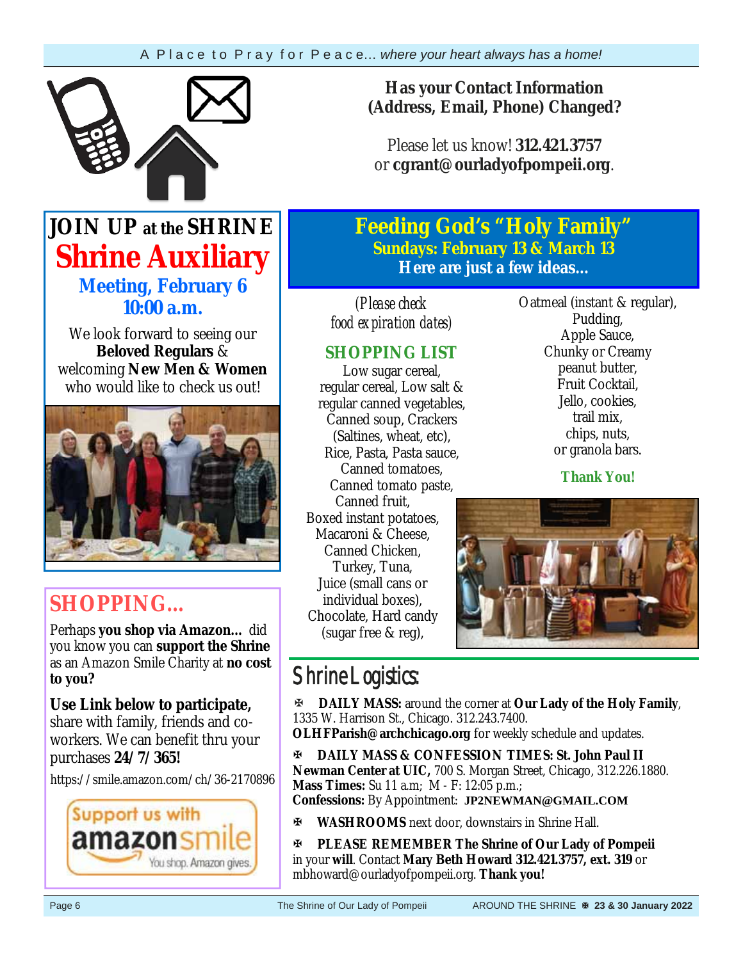

## **Has your Contact Information (Address, Email, Phone) Changed?**

Please let us know! **312.421.3757**  or **cgrant@ourladyofpompeii.org**.

## **JOIN UP at the SHRINE Shrine Auxiliary Meeting, February 6 10:00 a.m.**

We look forward to seeing our **Beloved Regulars** & welcoming **New Men & Women**  who would like to check us out!



# **SHOPPING…**

Perhaps **you shop via Amazon…** did you know you can **support the Shrine**  as an Amazon Smile Charity at **no cost to you?** 

**Use Link below to participate,** share with family, friends and coworkers. We can benefit thru your purchases **24/7/365!**

https://smile.amazon.com/ch/36-2170896



**Feeding God's "Holy Family" Sundays: February 13 & March 13 Here are just a few ideas...** 

*(Please check food expiration dates)* 

## **SHOPPING LIST**

Low sugar cereal, regular cereal, Low salt & regular canned vegetables, Canned soup, Crackers (Saltines, wheat, etc), Rice, Pasta, Pasta sauce, Canned tomatoes, Canned tomato paste, Canned fruit, Boxed instant potatoes, Macaroni & Cheese, Canned Chicken, Turkey, Tuna, Juice (small cans or individual boxes), Chocolate, Hard candy (sugar free & reg),

Oatmeal (instant & regular), Pudding, Apple Sauce, Chunky or Creamy peanut butter, Fruit Cocktail, Jello, cookies, trail mix, chips, nuts, or granola bars.

**Thank You!**



# Shrine Logistics:

**DAILY MASS:** around the corner at **Our Lady of the Holy Family**, 1335 W. Harrison St., Chicago. 312.243.7400.

**OLHFParish@archchicago.org** for weekly schedule and updates.

**DAILY MASS & CONFESSION TIMES: St. John Paul II Newman Center at UIC,** 700 S. Morgan Street, Chicago, 312.226.1880. **Mass Times:** Su 11 a.m; M - F: 12:05 p.m.; **Confessions:** By Appointment: **JP2NEWMAN@GMAIL.COM**

**WASHROOMS** next door, downstairs in Shrine Hall.

**PLEASE REMEMBER The Shrine of Our Lady of Pompeii**  in your **will**. Contact **Mary Beth Howard 312.421.3757, ext. 319** or mbhoward@ourladyofpompeii.org. **Thank you!**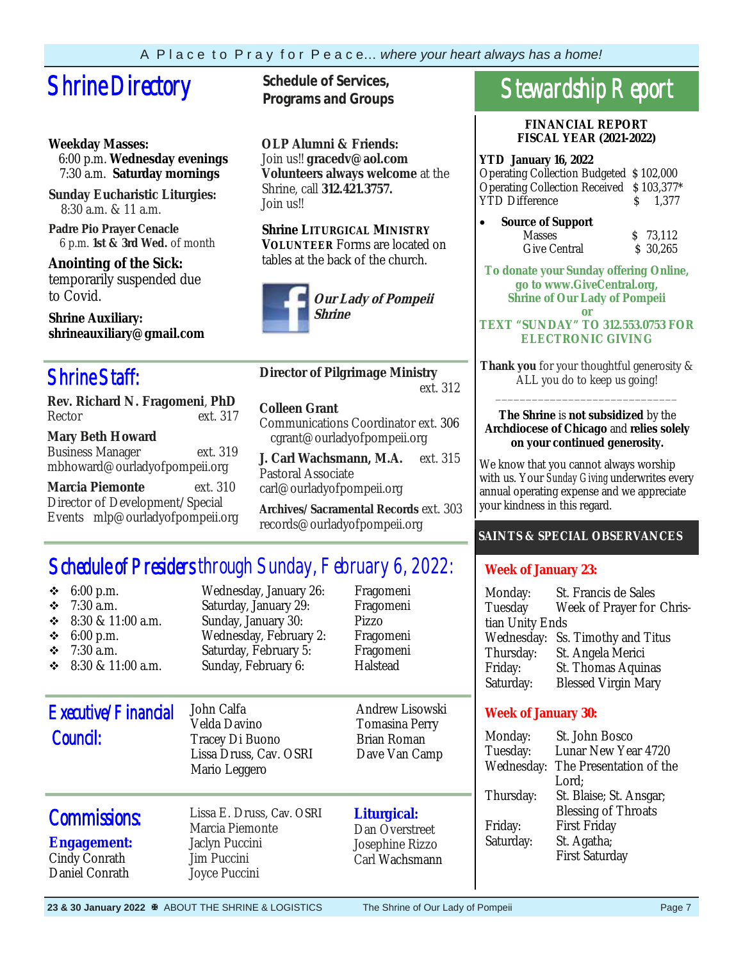# **Shrine Directory** Schedule of Services,

### **Weekday Masses:**

 6:00 p.m. **Wednesday evenings** 7:30 a.m. **Saturday mornings**

**Sunday Eucharistic Liturgies:** 8:30 a.m. & 11 a.m.

**Padre Pio Prayer Cenacle** 6 p.m. **1st & 3rd Wed.** of month

**Anointing of the Sick:**  temporarily suspended due to Covid.

**Shrine Auxiliary: shrineauxiliary@gmail.com** 

## Shrine Staff:

**Rev. Richard N. Fragomeni**, **PhD**  Rector ext. 317

**Mary Beth Howard** Business Manager ext. 319 mbhoward@ourladyofpompeii.org

**Marcia Piemonte** ext. 310 Director of Development/Special Events mlp@ourladyofpompeii.org **Programs and Groups**

**OLP Alumni & Friends:**  Join us!! **gracedv@aol.com Volunteers always welcome** at the Shrine, call **312.421.3757.**  Join us!!

**Shrine LITURGICAL MINISTRY VOLUNTEER** Forms are located on tables at the back of the church.



**Director of Pilgrimage Ministry** ext. 312

#### **Colleen Grant**

Communications Coordinator ext. 306 cgrant@ourladyofpompeii.org

**J. Carl Wachsmann, M.A.** ext. 315 Pastoral Associate carl@ourladyofpompeii.org

**Archives/Sacramental Records** ext. 303 records@ourladyofpompeii.org

## Schedule of Presiders through Sunday, February 6, 2022:

| 6:00 p.m.<br>❖<br>$7:30$ a.m.<br>❖<br>8:30 & 11:00 a.m.<br>❖<br>❖<br>6:00 p.m.<br>$7:30$ a.m.<br>❖<br>$\div$ 8:30 & 11:00 a.m. | Wednesday, January 26:<br>Saturday, January 29:<br>Sunday, January 30:<br>Wednesday, February 2:<br>Saturday, February 5:<br>Sunday, February 6: | Fragomeni<br>Fragomeni<br>Pizzo<br>Fragomeni<br>Fragomeni<br>Halstead    | Mo<br>Tu<br>tian<br>$W_6$<br>Th<br>Fri<br>Sat |
|--------------------------------------------------------------------------------------------------------------------------------|--------------------------------------------------------------------------------------------------------------------------------------------------|--------------------------------------------------------------------------|-----------------------------------------------|
| Executive/Financial<br>Council:                                                                                                | John Calfa<br>Velda Davino<br>Tracey Di Buono<br>Lissa Druss, Cav. OSRI<br>Mario Leggero                                                         | Andrew Lisowski<br>Tomasina Perry<br><b>Brian Roman</b><br>Dave Van Camp | W<br>M<br>Tu<br>Wε                            |
| <b>Commissions:</b><br><b>Engagement:</b><br>Cindy Conrath<br>Daniel Conrath                                                   | Lissa E. Druss, Cav. OSRI<br>Marcia Piemonte<br>Jaclyn Puccini<br>Jim Puccini<br>Joyce Puccini                                                   | Liturgical:<br>Dan Overstreet<br>Josephine Rizzo<br>Carl Wachsmann       | Th<br>Fri<br>Sat                              |

# Stewardship Report

#### **FINANCIAL REPORT FISCAL YEAR (2021-2022)**

### **YTD January 16, 2022**

Operating Collection Budgeted \$ 102,000 Operating Collection Received \$ 103,377\* YTD Difference  $\qquad \qquad$  \$ 1,377

 **Source of Support**  Masses \$ 73,112 Give Central \$ 30,265

**To donate your Sunday offering Online, go to www.GiveCentral.org, Shrine of Our Lady of Pompeii or** 

#### **TEXT "SUNDAY" TO 312.553.0753 FOR ELECTRONIC GIVING**

**Thank you** for your thoughtful generosity & ALL you do to keep us going! \_\_\_\_\_\_\_\_\_\_\_\_\_\_\_\_\_\_\_\_\_\_\_\_\_\_\_\_\_\_

#### **The Shrine** is **not subsidized** by the **Archdiocese of Chicago** and **relies solely on your continued generosity.**

We know that you cannot always worship with us. Your *Sunday Giving* underwrites every annual operating expense and we appreciate your kindness in this regard.

## **SAINTS & SPECIAL OBSERVANCES**

## **Week of January 23:**

| Monday:         | St. Francis de Sales             |  |  |  |  |  |
|-----------------|----------------------------------|--|--|--|--|--|
| Tuesday         | Week of Prayer for Chris-        |  |  |  |  |  |
| tian Unity Ends |                                  |  |  |  |  |  |
|                 | Wednesday: Ss. Timothy and Titus |  |  |  |  |  |
| Thursday:       | St. Angela Merici                |  |  |  |  |  |
| Friday:         | St. Thomas Aquinas               |  |  |  |  |  |
| Saturday:       | <b>Blessed Virgin Mary</b>       |  |  |  |  |  |

## **Week of January 30:**

| Monday:    | St. John Bosco             |
|------------|----------------------------|
| Tuesday:   | Lunar New Year 4720        |
| Wednesday: | The Presentation of the    |
|            | Lord;                      |
| Thursday:  | St. Blaise; St. Ansgar;    |
|            | <b>Blessing of Throats</b> |
| Friday:    | <b>First Friday</b>        |
| Saturday:  | St. Agatha;                |
|            | <b>First Saturday</b>      |
|            |                            |